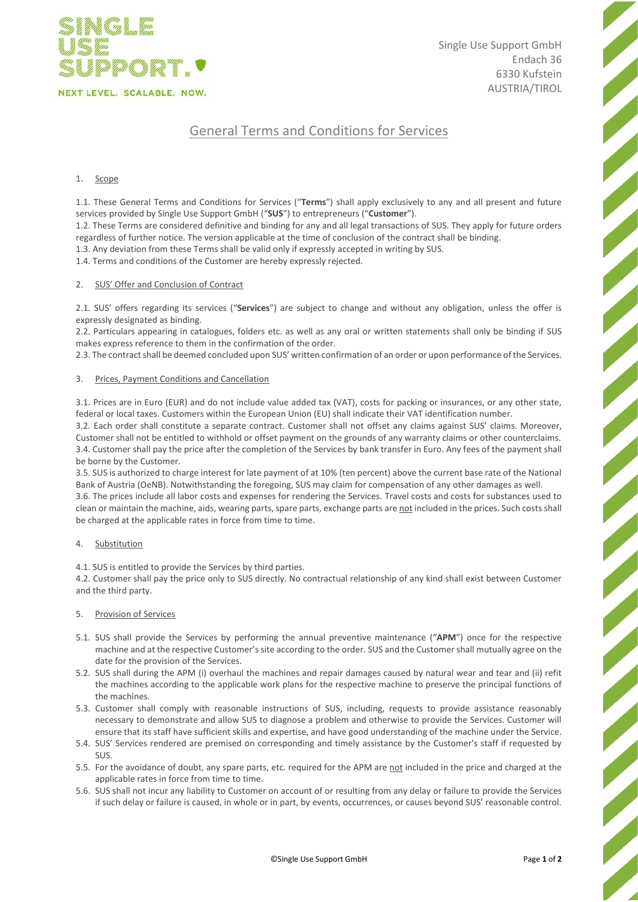

Single Use Support GmbH Endach 36 6330 Kufstein AUSTRIA/TIROL # General Terms and Conditions for Services

# 1. Scope

1.1. These General Terms and Conditions for Services ("**Terms**") shall apply exclusively to any and all present and future services provided by Single Use Support GmbH ("**SUS**") to entrepreneurs ("**Customer**").

1.2. These Terms are considered definitive and binding for any and all legal transactions of SUS. They apply for future orders regardless of further notice. The version applicable at the time of conclusion of the contract shall be binding.

1.3. Any deviation from these Terms shall be valid only if expressly accepted in writing by SUS.

1.4. Terms and conditions of the Customer are hereby expressly rejected.

# 2. SUS' Offer and Conclusion of Contract

2.1. SUS' offers regarding its services ("**Services**") are subject to change and without any obligation, unless the offer is expressly designated as binding.

2.2. Particulars appearing in catalogues, folders etc. as well as any oral or written statements shall only be binding if SUS makes express reference to them in the confirmation of the order.

2.3. The contract shall be deemed concluded upon SUS' written confirmation of an order or upon performance of the Services.

# 3. Prices, Payment Conditions and Cancellation

3.1. Prices are in Euro (EUR) and do not include value added tax (VAT), costs for packing or insurances, or any other state, federal or local taxes. Customers within the European Union (EU) shall indicate their VAT identification number.

3.2. Each order shall constitute a separate contract. Customer shall not offset any claims against SUS' claims. Moreover, Customer shall not be entitled to withhold or offset payment on the grounds of any warranty claims or other counterclaims. 3.4. Customer shall pay the price after the completion of the Services by bank transfer in Euro. Any fees of the payment shall be borne by the Customer.

3.5. SUS is authorized to charge interest for late payment of at 10% (ten percent) above the current base rate of the National Bank of Austria (OeNB). Notwithstanding the foregoing, SUS may claim for compensation of any other damages as well.

3.6. The prices include all labor costs and expenses for rendering the Services. Travel costs and costs for substances used to clean or maintain the machine, aids, wearing parts, spare parts, exchange parts are not included in the prices. Such costs shall be charged at the applicable rates in force from time to time.

#### Substitution

4.1. SUS is entitled to provide the Services by third parties.

4.2. Customer shall pay the price only to SUS directly. No contractual relationship of any kind shall exist between Customer and the third party.

#### 5. Provision of Services

- 5.1. SUS shall provide the Services by performing the annual preventive maintenance ("**APM**") once for the respective machine and at the respective Customer's site according to the order. SUS and the Customer shall mutually agree on the date for the provision of the Services.
- 5.2. SUS shall during the APM (i) overhaul the machines and repair damages caused by natural wear and tear and (ii) refit the machines according to the applicable work plans for the respective machine to preserve the principal functions of the machines.
- 5.3. Customer shall comply with reasonable instructions of SUS, including, requests to provide assistance reasonably necessary to demonstrate and allow SUS to diagnose a problem and otherwise to provide the Services. Customer will ensure that its staff have sufficient skills and expertise, and have good understanding of the machine under the Service.
- 5.4. SUS' Services rendered are premised on corresponding and timely assistance by the Customer's staff if requested by SUS.
- 5.5. For the avoidance of doubt, any spare parts, etc. required for the APM are not included in the price and charged at the applicable rates in force from time to time.
- 5.6. SUS shall not incur any liability to Customer on account of or resulting from any delay or failure to provide the Services if such delay or failure is caused, in whole or in part, by events, occurrences, or causes beyond SUS' reasonable control.